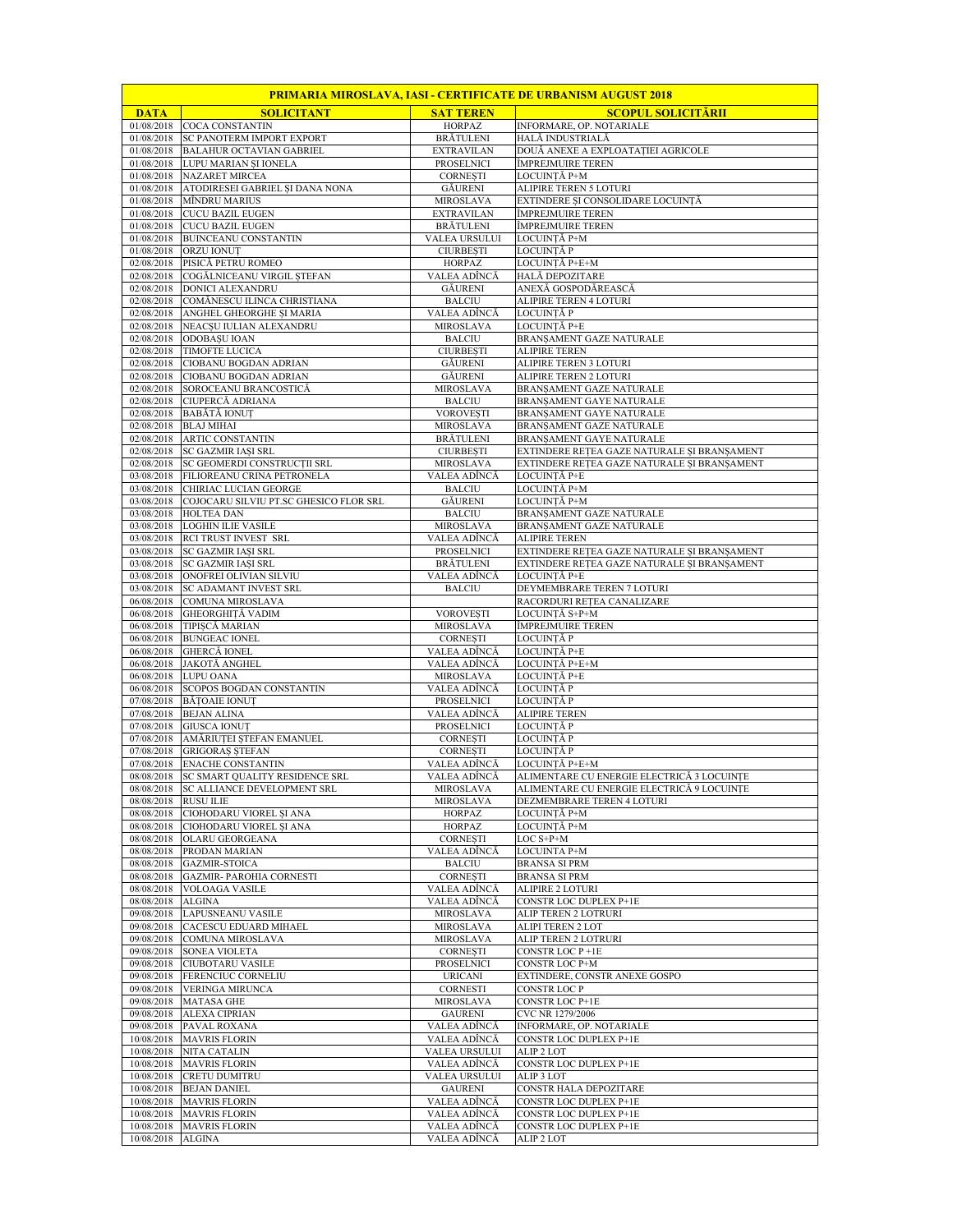|             |                                                                      |                               | <u> PRIMARIA MIROSLAVA, IASI - CERTIFICATE DE URBANISM AUGUST 2018</u> |
|-------------|----------------------------------------------------------------------|-------------------------------|------------------------------------------------------------------------|
| <b>DATA</b> | <b>SOLICITANT</b>                                                    | <b>SAT TEREN</b>              | <b>SCOPUL SOLICITÀRII</b>                                              |
|             | 01/08/2018 COCA CONSTANTIN<br>01/08/2018 SC PANOTERM IMPORT EXPORT   | HORPAZ<br><b>BRĂTULENI</b>    | INFORMARE, OP. NOTARIALE<br>HALĂ INDUSTRIALĂ                           |
|             | 01/08/2018 BALAHUR OCTAVIAN GABRIEL                                  | <b>EXTRAVILAN</b>             | DOUĂ ANEXE A EXPLOATAȚIEI AGRICOLE                                     |
|             | 01/08/2018 LUPU MARIAN ȘI IONELA                                     | PROSELNICI                    | ÎMPREJMUIRE TEREN                                                      |
|             | 01/08/2018 NAZARET MIRCEA                                            | <b>CORNESTI</b>               | LOCUINTĂ P+M                                                           |
|             | 01/08/2018 ATODIRESEI GABRIEL ȘI DANA NONA                           | GĂURENI                       | ALIPIRE TEREN 5 LOTURI                                                 |
| 01/08/2018  | MÎNDRU MARIUS                                                        | MIROSLAVA                     | EXTINDERE ȘI CONSOLIDARE LOCUINȚĂ                                      |
|             | 01/08/2018 CUCU BAZIL EUGEN                                          | <b>EXTRAVILAN</b>             | ÎMPREJMUIRE TEREN                                                      |
|             | 01/08/2018 CUCU BAZIL EUGEN                                          | <b>BRĂTULENI</b>              | ÎMPREJMUIRE TEREN                                                      |
| 01/08/2018  | <b>BUINCEANU CONSTANTIN</b>                                          | VALEA URSULUI                 | LOCUINTĂ P+M                                                           |
|             | 01/08/2018 ORZU IONUT                                                | <b>CIURBEȘTI</b>              | LOCUINȚĂ P                                                             |
| 02/08/2018  | PISICĂ PETRU ROMEO                                                   | HORPAZ                        | LOCUINTĂ P+E+M                                                         |
| 02/08/2018  | COGĂLNICEANU VIRGIL ȘTEFAN                                           | VALEA ADÎNCĂ                  | HALĂ DEPOZITARE                                                        |
|             | 02/08/2018 DONICI ALEXANDRU                                          | <b>GÄURENI</b>                | ANEXĂ GOSPODĂREASCĂ                                                    |
| 02/08/2018  | COMĂNESCU ILINCA CHRISTIANA                                          | <b>BALCIU</b>                 | ALIPIRE TEREN 4 LOTURI                                                 |
| 02/08/2018  | ANGHEL GHEORGHE ȘI MARIA                                             | VALEA ADÎNCĂ                  | LOCUINTĂ P                                                             |
|             | 02/08/2018 NEACȘU IULIAN ALEXANDRU                                   | MIROSLAVA                     | LOCUINȚĂ P+E                                                           |
| 02/08/2018  | ODOBAȘU IOAN                                                         | <b>BALCIU</b>                 | BRANȘAMENT GAZE NATURALE                                               |
| 02/08/2018  | <b>TIMOFTE LUCICA</b>                                                | <b>CIURBEȘTI</b>              | <b>ALIPIRE TEREN</b>                                                   |
|             | 02/08/2018 CIOBANU BOGDAN ADRIAN                                     | GĂURENI                       | ALIPIRE TEREN 3 LOTURI                                                 |
|             | 02/08/2018 CIOBANU BOGDAN ADRIAN                                     | GĂURENI                       | ALIPIRE TEREN 2 LOTURI                                                 |
|             | 02/08/2018 SOROCEANU BRANCOSTICĂ                                     | <b>MIROSLAVA</b>              | BRANȘAMENT GAZE NATURALE                                               |
|             | 02/08/2018 CIUPERCĂ ADRIANA                                          | <b>BALCIU</b>                 | BRANSAMENT GAYE NATURALE                                               |
|             | 02/08/2018 BABĂTĂ IONUT<br>02/08/2018 BLAJ MIHAI                     | <b>VOROVEȘTI</b>              | BRANȘAMENT GAYE NATURALE<br>BRANSAMENT GAZE NATURALE                   |
|             |                                                                      | MIROSLAVA<br><b>BRĂTULENI</b> | BRANSAMENT GAYE NATURALE                                               |
|             | 02/08/2018 ARTIC CONSTANTIN<br>02/08/2018 SC GAZMIR IASI SRL         | <b>CIURBESTI</b>              | EXTINDERE REȚEA GAZE NATURALE ȘI BRANȘAMENT                            |
|             |                                                                      | <b>MIROSLAVA</b>              |                                                                        |
| 03/08/2018  | 02/08/2018 SC GEOMERDI CONSTRUCȚII SRL<br>FILIOREANU CRINA PETRONELA | VALEA ADÎNCĂ                  | EXTINDERE REȚEA GAZE NATURALE ȘI BRANȘAMENT<br>LOCUINTĂ P+E            |
| 03/08/2018  | CHIRIAC LUCIAN GEORGE                                                | <b>BALCIU</b>                 | LOCUINTĂ P+M                                                           |
|             | 03/08/2018 COJOCARU SILVIU PT.SC GHESICO FLOR SRL                    | <b>GÄURENI</b>                | LOCUINȚĂ P+M                                                           |
|             | 03/08/2018 HOLTEA DAN                                                | <b>BALCIU</b>                 | BRANSAMENT GAZE NATURALE                                               |
| 03/08/2018  | <b>LOGHIN ILIE VASILE</b>                                            | MIROSLAVA                     | BRANȘAMENT GAZE NATURALE                                               |
|             | 03/08/2018 RCI TRUST INVEST SRL                                      | VALEA ADÎNCĂ                  | <b>ALIPIRE TEREN</b>                                                   |
|             | 03/08/2018 SC GAZMIR IASI SRL                                        | PROSELNICI                    | EXTINDERE REȚEA GAZE NATURALE ȘI BRANȘAMENT                            |
|             | 03/08/2018 SC GAZMIR IASI SRL                                        | <b>BRĂTULENI</b>              | EXTINDERE REȚEA GAZE NATURALE ȘI BRANȘAMENT                            |
| 03/08/2018  | ONOFREI OLIVIAN SILVIU                                               | VALEA ADÎNCĂ                  | LOCUINȚĂ P+E                                                           |
| 03/08/2018  | SC ADAMANT INVEST SRL                                                | <b>BALCIU</b>                 | DEYMEMBRARE TEREN 7 LOTURI                                             |
| 06/08/2018  | COMUNA MIROSLAVA                                                     |                               | RACORDURI REȚEA CANALIZARE                                             |
|             | 06/08/2018 GHEORGHITĂ VADIM                                          | <b>VOROVESTI</b>              | LOCUINȚĂ S+P+M                                                         |
| 06/08/2018  | TIPIȘCĂ MARIAN                                                       | MIROSLAVA                     | ÎMPREJMUIRE TEREN                                                      |
| 06/08/2018  | <b>BUNGEAC IONEL</b>                                                 | <b>CORNESTI</b>               | LOCUINȚĂ P                                                             |
|             | 06/08/2018 GHERCĂ IONEL                                              | VALEA ADÎNCĂ                  | LOCUINȚĂ P+E                                                           |
| 06/08/2018  | <b>JAKOTĂ ANGHEL</b>                                                 | VALEA ADÎNCĂ                  | LOCUINTĂ P+E+M                                                         |
|             | 06/08/2018 LUPU OANA                                                 | MIROSLAVA                     | LOCUINȚĂ P+E                                                           |
|             | 06/08/2018 SCOPOS BOGDAN CONSTANTIN                                  | VALEA ADÎNCĂ                  | LOCUINTĂ P                                                             |
|             | 07/08/2018 BĂTOAIE IONUT<br>07/08/2018 BEJAN ALINA                   | PROSELNICI<br>VALEA ADÎNCĂ    | LOCUINTĂ P<br><b>ALIPIRE TEREN</b>                                     |
|             | 07/08/2018 GIUSCA IONUT                                              | PROSELNICI                    | LOCUINTĂ P                                                             |
|             | 07/08/2018 AMĂRIUTEI STEFAN EMANUEL                                  | <b>CORNESTI</b>               | LOCUINȚĂ P                                                             |
|             | 07/08/2018 GRIGORAS STEFAN                                           | <b>CORNESTI</b>               | LOCUINTĂ P                                                             |
|             | 07/08/2018 ENACHE CONSTANTIN                                         |                               | VALEA ADÎNCĂ LOCUINTĂ P+E+M                                            |
|             | 08/08/2018 SC SMART QUALITY RESIDENCE SRL                            | VALEA ADÎNCĂ                  | ALIMENTARE CU ENERGIE ELECTRICĂ 3 LOCUINȚE                             |
| 08/08/2018  | SC ALLIANCE DEVELOPMENT SRL                                          | MIROSLAVA                     | ALIMENTARE CU ENERGIE ELECTRICĂ 9 LOCUINTE                             |
|             | 08/08/2018 RUSU ILIE                                                 | MIROSLAVA                     | DEZMEMBRARE TEREN 4 LOTURI                                             |
| 08/08/2018  | CIOHODARU VIOREL SI ANA                                              | HORPAZ                        | LOCUINȚĂ P+M                                                           |
| 08/08/2018  | CIOHODARU VIOREL ȘI ANA                                              | <b>HORPAZ</b>                 | LOCUINTĂ P+M                                                           |
| 08/08/2018  | <b>OLARU GEORGEANA</b>                                               | <b>CORNESTI</b>               | $LOC S+P+M$                                                            |
| 08/08/2018  | PRODAN MARIAN                                                        | VALEA ADÎNCĂ                  | LOCUINTA P+M                                                           |
| 08/08/2018  | <b>GAZMIR-STOICA</b>                                                 | <b>BALCIU</b>                 | <b>BRANSA SI PRM</b>                                                   |
|             | 08/08/2018 GAZMIR- PAROHIA CORNESTI                                  | <b>CORNESTI</b>               | <b>BRANSA SI PRM</b>                                                   |
| 08/08/2018  | <b>VOLOAGA VASILE</b>                                                | VALEA ADÎNCĂ                  | ALIPIRE 2 LOTURI                                                       |
| 08/08/2018  | <b>ALGINA</b>                                                        | VALEA ADÎNCĂ                  | CONSTR LOC DUPLEX P+1E                                                 |
| 09/08/2018  | LAPUSNEANU VASILE                                                    | MIROSLAVA                     | ALIP TEREN 2 LOTRURI                                                   |
| 09/08/2018  | CACESCU EDUARD MIHAEL                                                | <b>MIROSLAVA</b>              | <b>ALIPI TEREN 2 LOT</b>                                               |
| 09/08/2018  | COMUNA MIROSLAVA                                                     | MIROSLAVA                     | ALIP TEREN 2 LOTRURI                                                   |
| 09/08/2018  | SONEA VIOLETA                                                        | <b>CORNESTI</b>               | CONSTR LOC P +1E                                                       |
| 09/08/2018  | <b>CIUBOTARU VASILE</b>                                              | PROSELNICI                    | CONSTR LOC P+M                                                         |
| 09/08/2018  | FERENCIUC CORNELIU                                                   | <b>URICANI</b>                | EXTINDERE, CONSTR ANEXE GOSPO                                          |
|             | 09/08/2018 VERINGA MIRUNCA                                           | CORNESTI                      | CONSTR LOC P                                                           |
|             | 09/08/2018 MATASA GHE                                                | MIROSLAVA                     | CONSTR LOC P+1E                                                        |
|             | 09/08/2018 ALEXA CIPRIAN                                             | <b>GAURENI</b>                | CVC NR 1279/2006                                                       |
|             | 09/08/2018 PAVAL ROXANA                                              | VALEA ADÎNCĂ                  | INFORMARE, OP. NOTARIALE                                               |
|             | 10/08/2018 MAVRIS FLORIN                                             | VALEA ADÎNCĂ                  | CONSTR LOC DUPLEX P+1E                                                 |
|             | 10/08/2018 NITA CATALIN                                              | VALEA URSULUI                 | ALIP 2 LOT                                                             |
|             | 10/08/2018 MAVRIS FLORIN                                             | VALEA ADÎNCĂ                  | CONSTR LOC DUPLEX P+1E                                                 |
|             | 10/08/2018 CRETU DUMITRU                                             | VALEA URSULUI                 | ALIP 3 LOT                                                             |
|             | 10/08/2018 BEJAN DANIEL                                              | <b>GAURENI</b>                | CONSTR HALA DEPOZITARE                                                 |
|             | 10/08/2018 MAVRIS FLORIN<br><b>MAVRIS FLORIN</b>                     | VALEA ADÎNCĂ                  | CONSTR LOC DUPLEX P+1E<br><b>CONSTR LOC DUPLEX P+1E</b>                |
|             |                                                                      | VALEA ADÎNCĂ                  |                                                                        |
| 10/08/2018  | 10/08/2018 MAVRIS FLORIN                                             | VALEA ADÎNCĂ                  | CONSTR LOC DUPLEX P+1E                                                 |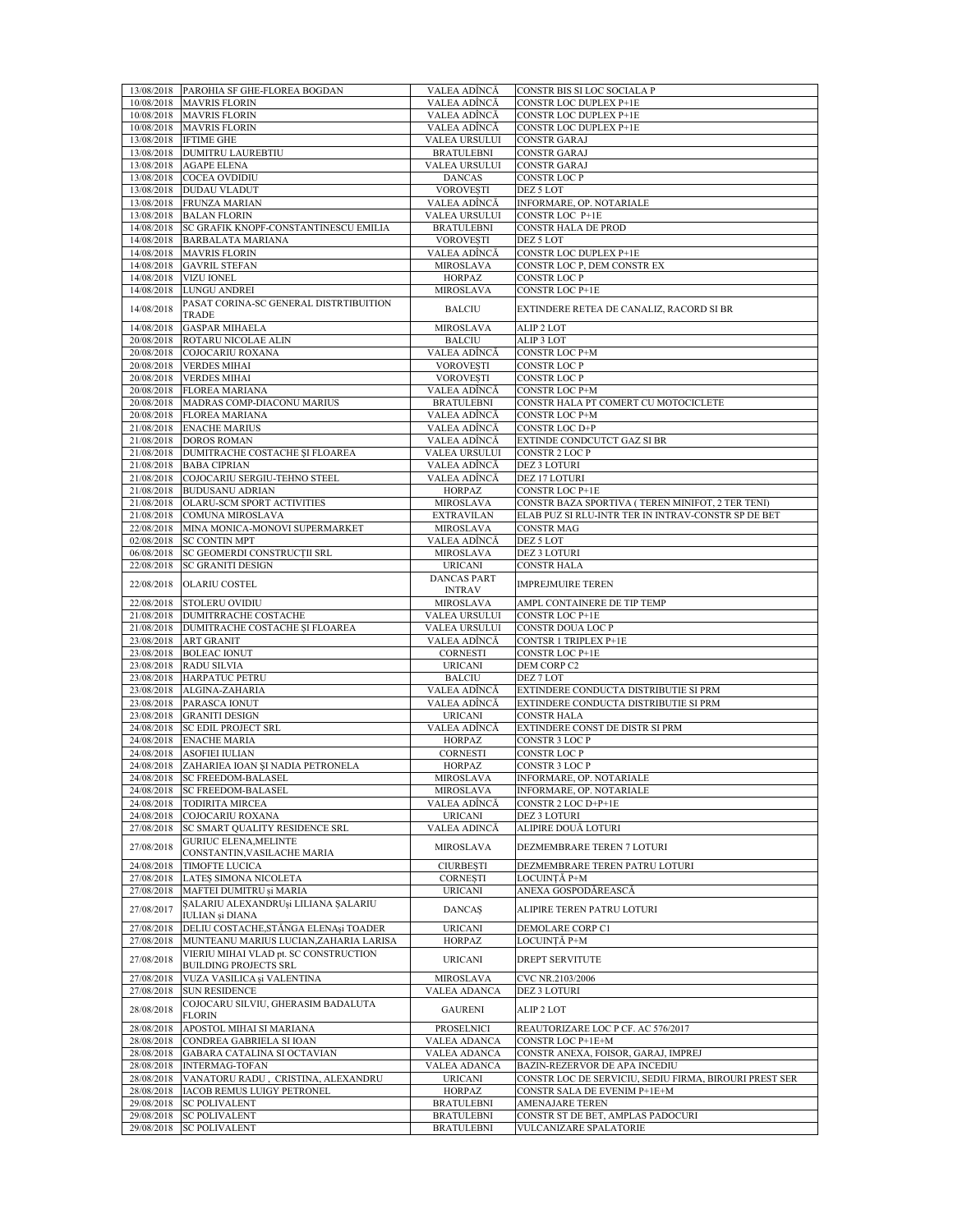|                          | 13/08/2018 PAROHIA SF GHE-FLOREA BOGDAN                                 | VALEA ADÎNCĂ                        | CONSTR BIS SI LOC SOCIALA P                                                            |
|--------------------------|-------------------------------------------------------------------------|-------------------------------------|----------------------------------------------------------------------------------------|
| 10/08/2018               | <b>MAVRIS FLORIN</b>                                                    | VALEA ADÎNCĂ                        | CONSTR LOC DUPLEX P+1E                                                                 |
| 10/08/2018               | <b>MAVRIS FLORIN</b>                                                    | VALEA ADÎNCĂ                        | CONSTR LOC DUPLEX P+1E                                                                 |
| 10/08/2018<br>13/08/2018 | <b>MAVRIS FLORIN</b><br><b>IFTIME GHE</b>                               | VALEA ADÎNCĂ<br>VALEA URSULUI       | CONSTR LOC DUPLEX P+1E<br><b>CONSTR GARAJ</b>                                          |
| 13/08/2018               | <b>DUMITRU LAUREBTIU</b>                                                | <b>BRATULEBNI</b>                   | <b>CONSTR GARAJ</b>                                                                    |
| 13/08/2018               | <b>AGAPE ELENA</b>                                                      | VALEA URSULUI                       | <b>CONSTR GARAJ</b>                                                                    |
| 13/08/2018               | COCEA OVDIDIU                                                           | <b>DANCAS</b>                       | CONSTR LOC P                                                                           |
| 13/08/2018               | DUDAU VLADUT                                                            | <b>VOROVESTI</b>                    | DEZ 5 LOT                                                                              |
| 13/08/2018               | FRUNZA MARIAN                                                           | VALEA ADÎNCĂ                        | INFORMARE, OP. NOTARIALE                                                               |
| 13/08/2018               | <b>BALAN FLORIN</b>                                                     | VALEA URSULUI                       | CONSTR LOC P+1E                                                                        |
| 14/08/2018               | SC GRAFIK KNOPF-CONSTANTINESCU EMILIA                                   | <b>BRATULEBNI</b>                   | CONSTR HALA DE PROD                                                                    |
| 14/08/2018<br>14/08/2018 | <b>BARBALATA MARIANA</b><br><b>MAVRIS FLORIN</b>                        | <b>VOROVEȘTI</b><br>VALEA ADÎNCĂ    | DEZ 5 LOT<br>CONSTR LOC DUPLEX P+1E                                                    |
| 14/08/2018               | <b>GAVRIL STEFAN</b>                                                    | MIROSLAVA                           | CONSTR LOC P, DEM CONSTR EX                                                            |
| 14/08/2018               | VIZU IONEL                                                              | <b>HORPAZ</b>                       | CONSTR LOC P                                                                           |
| 14/08/2018               | LUNGU ANDREI                                                            | MIROSLAVA                           | <b>CONSTR LOC P+1E</b>                                                                 |
| 14/08/2018               | PASAT CORINA-SC GENERAL DISTRTIBUITION                                  | <b>BALCIU</b>                       | EXTINDERE RETEA DE CANALIZ, RACORD SI BR                                               |
|                          | TRADE                                                                   |                                     |                                                                                        |
| 14/08/2018               | <b>GASPAR MIHAELA</b>                                                   | MIROSLAVA                           | ALIP 2 LOT                                                                             |
| 20/08/2018               | ROTARU NICOLAE ALIN                                                     | <b>BALCIU</b>                       | ALIP 3 LOT                                                                             |
| 20/08/2018<br>20/08/2018 | COJOCARIU ROXANA<br><b>VERDES MIHAI</b>                                 | VALEA ADÎNCĂ<br><b>VOROVESTI</b>    | CONSTR LOC P+M<br>CONSTR LOC P                                                         |
| 20/08/2018               | <b>VERDES MIHAI</b>                                                     | <b>VOROVESTI</b>                    | CONSTR LOC P                                                                           |
| 20/08/2018               | <b>FLOREA MARIANA</b>                                                   | VALEA ADÎNCĂ                        | CONSTR LOC P+M                                                                         |
| 20/08/2018               | MADRAS COMP-DIACONU MARIUS                                              | <b>BRATULEBNI</b>                   | CONSTR HALA PT COMERT CU MOTOCICLETE                                                   |
| 20/08/2018               | <b>FLOREA MARIANA</b>                                                   | VALEA ADÎNCĂ                        | CONSTR LOC P+M                                                                         |
| 21/08/2018               | <b>ENACHE MARIUS</b>                                                    | VALEA ADÎNCĂ                        | CONSTR LOC D+P                                                                         |
| 21/08/2018               | <b>DOROS ROMAN</b>                                                      | VALEA ADÎNCĂ                        | EXTINDE CONDCUTCT GAZ SI BR                                                            |
| 21/08/2018               | DUMITRACHE COSTACHE ȘI FLOAREA                                          | VALEA URSULUI                       | CONSTR 2 LOC P                                                                         |
| 21/08/2018<br>21/08/2018 | <b>BABA CIPRIAN</b><br>COJOCARIU SERGIU-TEHNO STEEL                     | VALEA ADÎNCĂ<br>VALEA ADÎNCĂ        | DEZ 3 LOTURI<br>DEZ 17 LOTURI                                                          |
| 21/08/2018               | <b>BUDUSANU ADRIAN</b>                                                  | HORPAZ                              | <b>CONSTR LOC P+1E</b>                                                                 |
| 21/08/2018               | OLARU-SCM SPORT ACTIVITIES                                              | MIROSLAVA                           | CONSTR BAZA SPORTIVA (TEREN MINIFOT, 2 TER TENI)                                       |
| 21/08/2018               | COMUNA MIROSLAVA                                                        | <b>EXTRAVILAN</b>                   | ELAB PUZ SI RLU-INTR TER IN INTRAV-CONSTR SP DE BET                                    |
| 22/08/2018               | MINA MONICA-MONOVI SUPERMARKET                                          | MIROSLAVA                           | <b>CONSTR MAG</b>                                                                      |
| 02/08/2018               | <b>SC CONTIN MPT</b>                                                    | VALEA ADÎNCĂ                        | DEZ 5 LOT                                                                              |
| 06/08/2018               | SC GEOMERDI CONSTRUCȚII SRL                                             | MIROSLAVA                           | DEZ 3 LOTURI                                                                           |
| 22/08/2018               | <b>SC GRANITI DESIGN</b>                                                | <b>URICANI</b>                      | <b>CONSTR HALA</b>                                                                     |
| 22/08/2018               | <b>OLARIU COSTEL</b>                                                    | <b>DANCAS PART</b><br><b>INTRAV</b> | <b>IMPREJMUIRE TEREN</b>                                                               |
| 22/08/2018               | <b>STOLERU OVIDIU</b>                                                   | MIROSLAVA                           | AMPL CONTAINERE DE TIP TEMP                                                            |
| 21/08/2018               | DUMITRRACHE COSTACHE                                                    | VALEA URSULUI                       | CONSTR LOC P+1E                                                                        |
| 21/08/2018               | DUMITRACHE COSTACHE ȘI FLOAREA                                          | VALEA URSULUI                       | CONSTR DOUA LOC P                                                                      |
| 23/08/2018               | <b>ART GRANIT</b>                                                       | VALEA ADÎNCĂ                        | CONTSR 1 TRIPLEX P+1E                                                                  |
| 23/08/2018               | <b>BOLEAC IONUT</b>                                                     | CORNESTI                            | CONSTR LOC P+1E                                                                        |
| 23/08/2018               | <b>RADU SILVIA</b>                                                      | <b>URICANI</b>                      | DEM CORP C2                                                                            |
| 23/08/2018<br>23/08/2018 | <b>HARPATUC PETRU</b><br>ALGINA-ZAHARIA                                 | <b>BALCIU</b><br>VALEA ADÎNCĂ       | DEZ 7 LOT<br>EXTINDERE CONDUCTA DISTRIBUTIE SI PRM                                     |
| 23/08/2018               | PARASCA IONUT                                                           | VALEA ADÎNCĂ                        | EXTINDERE CONDUCTA DISTRIBUTIE SI PRM                                                  |
| 23/08/2018               | <b>GRANITI DESIGN</b>                                                   | <b>URICANI</b>                      | <b>CONSTR HALA</b>                                                                     |
| 24/08/2018               | <b>SC EDIL PROJECT SRL</b>                                              | VALEA ADÎNCĂ                        | EXTINDERE CONST DE DISTR SI PRM                                                        |
| 24/08/2018               | <b>ENACHE MARIA</b>                                                     | HORPAZ                              | CONSTR 3 LOC P                                                                         |
| 24/08/2018               | <b>ASOFIEI IULIAN</b>                                                   | <b>CORNESTI</b>                     | CONSTR LOC P                                                                           |
|                          | 24/08/2018 ZAHARIEA IOAN ȘI NADIA PETRONELA                             | HORPAZ                              | CONSTR 3 LOC P                                                                         |
| 24/08/2018               | 24/08/2018 SC FREEDOM-BALASEL<br><b>SC FREEDOM-BALASEL</b>              | MIROSLAVA<br>MIROSLAVA              | INFORMARE, OP. NOTARIALE<br>INFORMARE, OP. NOTARIALE                                   |
| 24/08/2018               | <b>TODIRITA MIRCEA</b>                                                  | VALEA ADÎNCĂ                        | CONSTR 2 LOC D+P+1E                                                                    |
| 24/08/2018               | COJOCARIU ROXANA                                                        | <b>URICANI</b>                      | DEZ 3 LOTURI                                                                           |
| 27/08/2018               | SC SMART QUALITY RESIDENCE SRL                                          | VALEA ADINCĂ                        | ALIPIRE DOUĂ LOTURI                                                                    |
| 27/08/2018               | <b>GURIUC ELENA, MELINTE</b>                                            | MIROSLAVA                           | DEZMEMBRARE TEREN 7 LOTURI                                                             |
|                          | CONSTANTIN, VASILACHE MARIA                                             |                                     |                                                                                        |
| 24/08/2018               | <b>TIMOFTE LUCICA</b>                                                   | <b>CIURBEȘTI</b>                    | DEZMEMBRARE TEREN PATRU LOTURI                                                         |
| 27/08/2018<br>27/08/2018 | LATEȘ SIMONA NICOLETA<br>MAFTEI DUMITRU si MARIA                        | <b>CORNESTI</b><br><b>URICANI</b>   | LOCUINTĂ P+M<br>ANEXA GOSPODĂREASCĂ                                                    |
|                          | ŞALARIU ALEXANDRUşi LILIANA ŞALARIU                                     |                                     |                                                                                        |
| 27/08/2017               | IULIAN și DIANA                                                         | <b>DANCAŞ</b>                       | ALIPIRE TEREN PATRU LOTURI                                                             |
| 27/08/2018               | DELIU COSTACHE, STĂNGA ELENAși TOADER                                   | <b>URICANI</b>                      | DEMOLARE CORP C1                                                                       |
| 27/08/2018               | MUNTEANU MARIUS LUCIAN, ZAHARIA LARISA                                  | HORPAZ                              | LOCUINȚĂ P+M                                                                           |
| 27/08/2018               | VIERIU MIHAI VLAD pt. SC CONSTRUCTION                                   | <b>URICANI</b>                      | <b>DREPT SERVITUTE</b>                                                                 |
|                          | <b>BUILDING PROJECTS SRL</b>                                            |                                     |                                                                                        |
| 27/08/2018<br>27/08/2018 | VUZA VASILICA și VALENTINA<br><b>SUN RESIDENCE</b>                      | MIROSLAVA<br>VALEA ADANCA           | CVC NR.2103/2006<br>DEZ 3 LOTURI                                                       |
|                          | COJOCARU SILVIU, GHERASIM BADALUTA                                      |                                     |                                                                                        |
| 28/08/2018               | FLORIN                                                                  | <b>GAURENI</b>                      | ALIP 2 LOT                                                                             |
| 28/08/2018               | APOSTOL MIHAI SI MARIANA                                                | PROSELNICI                          | REAUTORIZARE LOC P CF. AC 576/2017                                                     |
| 28/08/2018               | CONDREA GABRIELA SI IOAN                                                | VALEA ADANCA                        | CONSTR LOC P+1E+M                                                                      |
| 28/08/2018               | GABARA CATALINA SI OCTAVIAN                                             | VALEA ADANCA                        | CONSTR ANEXA, FOISOR, GARAJ, IMPREJ                                                    |
| 28/08/2018               | <b>INTERMAG-TOFAN</b>                                                   | VALEA ADANCA                        | BAZIN-REZERVOR DE APA INCEDIU                                                          |
| 28/08/2018<br>28/08/2018 | VANATORU RADU, CRISTINA, ALEXANDRU<br><b>IACOB REMUS LUIGY PETRONEL</b> | <b>URICANI</b><br>HORPAZ            | CONSTR LOC DE SERVICIU, SEDIU FIRMA, BIROURI PREST SER<br>CONSTR SALA DE EVENIM P+1E+M |
| 29/08/2018               | <b>SC POLIVALENT</b>                                                    | <b>BRATULEBNI</b>                   | AMENAJARE TEREN                                                                        |
| 29/08/2018               | <b>SC POLIVALENT</b>                                                    | <b>BRATULEBNI</b>                   | CONSTR ST DE BET, AMPLAS PADOCURI                                                      |
| 29/08/2018               | <b>SC POLIVALENT</b>                                                    | <b>BRATULEBNI</b>                   | VULCANIZARE SPALATORIE                                                                 |